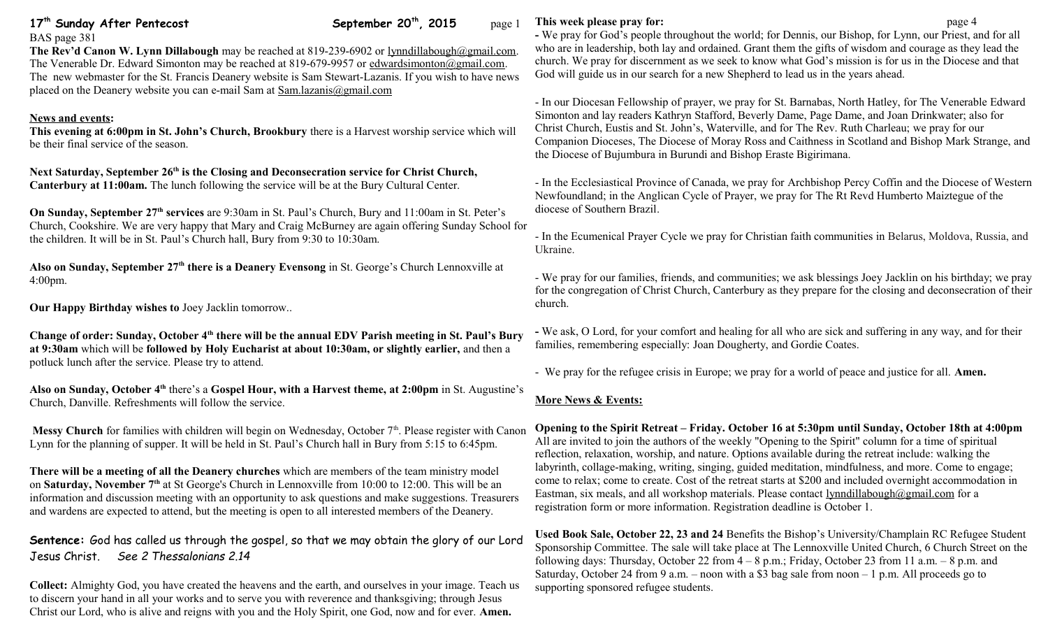# 17<sup>th</sup> Sunday After Pentecost September 20<sup>th</sup>, 2015 page 1

## BAS page 381

**The Rev'd Canon W. Lynn Dillabough** may be reached at 819-239-6902 or [lynndillabough@gmail.com.](mailto:lynndillabough@gmail.com) The Venerable Dr. Edward Simonton may be reached at 819-679-9957 or [edwardsimonton@gmail.com.](mailto:edwardsimonton@gmail.com) The new webmaster for the St. Francis Deanery website is Sam Stewart-Lazanis. If you wish to have news placed on the Deanery website you can e-mail Sam at [Sam.lazanis@gmail.com](mailto:Sam.lazanis@gmail.com)

### **News and events:**

**This evening at 6:00pm in St. John's Church, Brookbury** there is a Harvest worship service which will be their final service of the season.

Next Saturday, September 26<sup>th</sup> is the Closing and Deconsecration service for Christ Church, **Canterbury at 11:00am.** The lunch following the service will be at the Bury Cultural Center.

**On Sunday, September 27th services** are 9:30am in St. Paul's Church, Bury and 11:00am in St. Peter's Church, Cookshire. We are very happy that Mary and Craig McBurney are again offering Sunday School for the children. It will be in St. Paul's Church hall, Bury from 9:30 to 10:30am.

**Also on Sunday, September 27th there is a Deanery Evensong** in St. George's Church Lennoxville at 4:00pm.

**Our Happy Birthday wishes to** Joey Jacklin tomorrow..

**Change of order: Sunday, October 4th there will be the annual EDV Parish meeting in St. Paul's Bury at 9:30am** which will be **followed by Holy Eucharist at about 10:30am, or slightly earlier,** and then a potluck lunch after the service. Please try to attend.

**Also on Sunday, October 4th** there's a **Gospel Hour, with a Harvest theme, at 2:00pm** in St. Augustine's Church, Danville. Refreshments will follow the service.

Messy Church for families with children will begin on Wednesday, October 7<sup>th</sup>. Please register with Canon Lynn for the planning of supper. It will be held in St. Paul's Church hall in Bury from 5:15 to 6:45pm.

**There will be a meeting of all the Deanery churches** which are members of the team ministry model on **Saturday, November 7th** at St George's Church in Lennoxville from 10:00 to 12:00. This will be an information and discussion meeting with an opportunity to ask questions and make suggestions. Treasurers and wardens are expected to attend, but the meeting is open to all interested members of the Deanery.

**Sentence:** God has called us through the gospel, so that we may obtain the glory of our Lord Jesus Christ. *See 2 Thessalonians 2.14*

**Collect:** Almighty God, you have created the heavens and the earth, and ourselves in your image. Teach us to discern your hand in all your works and to serve you with reverence and thanksgiving; through Jesus Christ our Lord, who is alive and reigns with you and the Holy Spirit, one God, now and for ever. **Amen.**

**This week please pray for: page 4 -** We pray for God's people throughout the world; for Dennis, our Bishop, for Lynn, our Priest, and for all who are in leadership, both lay and ordained. Grant them the gifts of wisdom and courage as they lead the church. We pray for discernment as we seek to know what God's mission is for us in the Diocese and that God will guide us in our search for a new Shepherd to lead us in the years ahead.

- In our Diocesan Fellowship of prayer, we pray for St. Barnabas, North Hatley, for The Venerable Edward Simonton and lay readers Kathryn Stafford, Beverly Dame, Page Dame, and Joan Drinkwater; also for Christ Church, Eustis and St. John's, Waterville, and for The Rev. Ruth Charleau; we pray for our Companion Dioceses, The Diocese of Moray Ross and Caithness in Scotland and Bishop Mark Strange, and the Diocese of Bujumbura in Burundi and Bishop Eraste Bigirimana.

- In the Ecclesiastical Province of Canada, we pray for Archbishop Percy Coffin and the Diocese of Western Newfoundland; in the Anglican Cycle of Prayer, we pray for The Rt Revd Humberto Maiztegue of the diocese of Southern Brazil.

- In the Ecumenical Prayer Cycle we pray for Christian faith communities in Belarus, Moldova, Russia, and Ukraine.

- We pray for our families, friends, and communities; we ask blessings Joey Jacklin on his birthday; we pray for the congregation of Christ Church, Canterbury as they prepare for the closing and deconsecration of their church.

**-** We ask, O Lord, for your comfort and healing for all who are sick and suffering in any way, and for their families, remembering especially: Joan Dougherty, and Gordie Coates.

- We pray for the refugee crisis in Europe; we pray for a world of peace and justice for all. **Amen.**

### **More News & Events:**

**Opening to the Spirit Retreat – Friday. October 16 at 5:30pm until Sunday, October 18th at 4:00pm** All are invited to join the authors of the weekly "Opening to the Spirit" column for a time of spiritual reflection, relaxation, worship, and nature. Options available during the retreat include: walking the labyrinth, collage-making, writing, singing, guided meditation, mindfulness, and more. Come to engage; come to relax; come to create. Cost of the retreat starts at \$200 and included overnight accommodation in Eastman, six meals, and all workshop materials. Please contact  $lynndillabough@gmail.com$  for a registration form or more information. Registration deadline is October 1.

**Used Book Sale, October 22, 23 and 24** Benefits the Bishop's University/Champlain RC Refugee Student Sponsorship Committee. The sale will take place at The Lennoxville United Church, 6 Church Street on the following days: Thursday, October 22 from  $4 - 8$  p.m.; Friday, October 23 from 11 a.m.  $- 8$  p.m. and Saturday, October 24 from 9 a.m. – noon with a  $\overline{s}3$  bag sale from noon – 1 p.m. All proceeds go to supporting sponsored refugee students.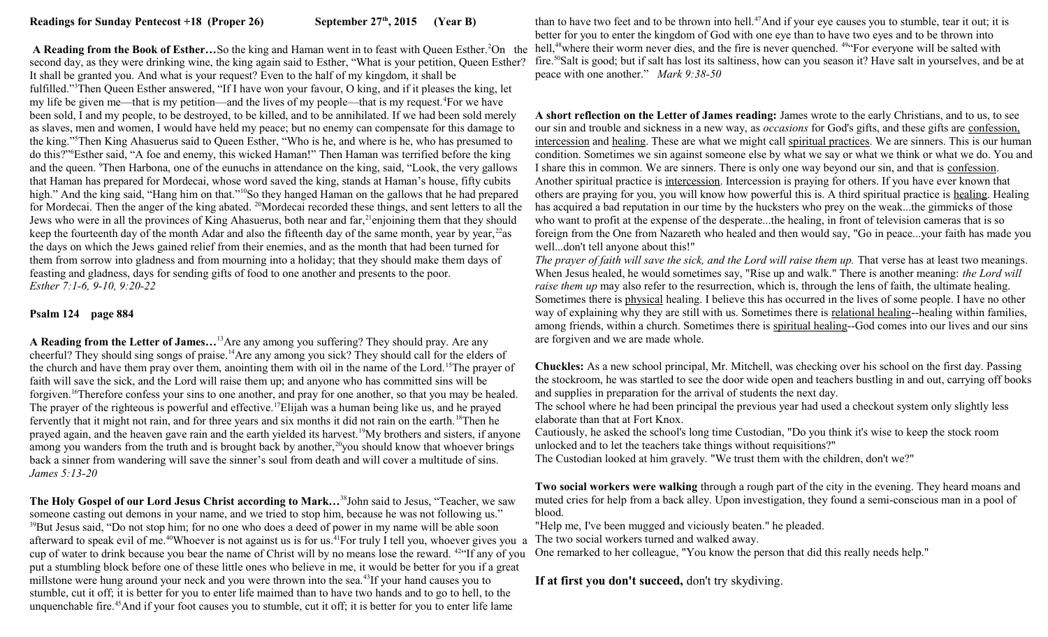A Reading from the Book of Esther…So the king and Haman went in to feast with Queen Esther.<sup>2</sup>On the hell,<sup>48</sup>where their worm never dies, and the fire is never quenched. <sup>49</sup> For everyone will be salted with second day, as they were drinking wine, the king again said to Esther, "What is your petition, Queen Esther? It shall be granted you. And what is your request? Even to the half of my kingdom, it shall be fulfilled."<sup>3</sup>Then Queen Esther answered, "If I have won your favour, O king, and if it pleases the king, let my life be given me—that is my petition—and the lives of my people—that is my request.<sup>4</sup>For we have been sold, I and my people, to be destroyed, to be killed, and to be annihilated. If we had been sold merely as slaves, men and women, I would have held my peace; but no enemy can compensate for this damage to the king."<sup>5</sup>Then King Ahasuerus said to Queen Esther, "Who is he, and where is he, who has presumed to do this?"<sup>6</sup>Esther said, "A foe and enemy, this wicked Haman!" Then Haman was terrified before the king and the queen. <sup>9</sup>Then Harbona, one of the eunuchs in attendance on the king, said, "Look, the very gallows that Haman has prepared for Mordecai, whose word saved the king, stands at Haman's house, fifty cubits high." And the king said, "Hang him on that."<sup>10</sup>So they hanged Haman on the gallows that he had prepared for Mordecai. Then the anger of the king abated. <sup>20</sup>Mordecai recorded these things, and sent letters to all the Jews who were in all the provinces of King Ahasuerus, both near and far,<sup>21</sup>enjoining them that they should keep the fourteenth day of the month Adar and also the fifteenth day of the same month, year by year,<sup>22</sup>as the days on which the Jews gained relief from their enemies, and as the month that had been turned for them from sorrow into gladness and from mourning into a holiday; that they should make them days of feasting and gladness, days for sending gifts of food to one another and presents to the poor. *Esther 7:1-6, 9-10, 9:20-22*

### **Psalm 124 page 884**

**A Reading from the Letter of James…**<sup>13</sup>Are any among you suffering? They should pray. Are any cheerful? They should sing songs of praise.<sup>14</sup>Are any among you sick? They should call for the elders of the church and have them pray over them, anointing them with oil in the name of the Lord.<sup>15</sup>The prayer of faith will save the sick, and the Lord will raise them up; and anyone who has committed sins will be forgiven.<sup>16</sup>Therefore confess your sins to one another, and pray for one another, so that you may be healed. The prayer of the righteous is powerful and effective.<sup>17</sup>Elijah was a human being like us, and he prayed fervently that it might not rain, and for three years and six months it did not rain on the earth.<sup>18</sup>Then he prayed again, and the heaven gave rain and the earth yielded its harvest.<sup>19</sup>My brothers and sisters, if anyone among you wanders from the truth and is brought back by another,<sup>20</sup>you should know that whoever brings back a sinner from wandering will save the sinner's soul from death and will cover a multitude of sins. *James 5:13-20*

**The Holy Gospel of our Lord Jesus Christ according to Mark…**<sup>38</sup>John said to Jesus, "Teacher, we saw someone casting out demons in your name, and we tried to stop him, because he was not following us." <sup>39</sup>But Jesus said, "Do not stop him; for no one who does a deed of power in my name will be able soon afterward to speak evil of me.<sup>40</sup>Whoever is not against us is for us.<sup>41</sup>For truly I tell you, whoever gives you a cup of water to drink because you bear the name of Christ will by no means lose the reward. <sup>42</sup>"If any of you put a stumbling block before one of these little ones who believe in me, it would be better for you if a great millstone were hung around your neck and you were thrown into the sea.<sup>43</sup>If your hand causes you to stumble, cut it off; it is better for you to enter life maimed than to have two hands and to go to hell, to the unquenchable fire.<sup>45</sup>And if your foot causes you to stumble, cut it off; it is better for you to enter life lame

than to have two feet and to be thrown into hell.<sup>47</sup>And if your eye causes you to stumble, tear it out; it is better for you to enter the kingdom of God with one eye than to have two eyes and to be thrown into fire.<sup>50</sup>Salt is good; but if salt has lost its saltiness, how can you season it? Have salt in yourselves, and be at peace with one another." *Mark 9:38-50* 

**A short reflection on the Letter of James reading:** James wrote to the early Christians, and to us, to see our sin and trouble and sickness in a new way, as *occasions* for God's gifts, and these gifts are confession, intercession and healing. These are what we might call spiritual practices. We are sinners. This is our human condition. Sometimes we sin against someone else by what we say or what we think or what we do. You and I share this in common. We are sinners. There is only one way beyond our sin, and that is confession. Another spiritual practice is intercession. Intercession is praying for others. If you have ever known that others are praying for you, you will know how powerful this is. A third spiritual practice is healing. Healing has acquired a bad reputation in our time by the hucksters who prey on the weak...the gimmicks of those who want to profit at the expense of the desperate...the healing, in front of television cameras that is so foreign from the One from Nazareth who healed and then would say, "Go in peace...your faith has made you well...don't tell anyone about this!"

*The prayer of faith will save the sick, and the Lord will raise them up.* That verse has at least two meanings. When Jesus healed, he would sometimes say, "Rise up and walk." There is another meaning: *the Lord will raise them up* may also refer to the resurrection, which is, through the lens of faith, the ultimate healing. Sometimes there is physical healing. I believe this has occurred in the lives of some people. I have no other way of explaining why they are still with us. Sometimes there is relational healing--healing within families, among friends, within a church. Sometimes there is spiritual healing--God comes into our lives and our sins are forgiven and we are made whole.

**Chuckles:** As a new school principal, Mr. Mitchell, was checking over his school on the first day. Passing the stockroom, he was startled to see the door wide open and teachers bustling in and out, carrying off books and supplies in preparation for the arrival of students the next day.

The school where he had been principal the previous year had used a checkout system only slightly less elaborate than that at Fort Knox.

Cautiously, he asked the school's long time Custodian, "Do you think it's wise to keep the stock room unlocked and to let the teachers take things without requisitions?"

The Custodian looked at him gravely. "We trust them with the children, don't we?"

**Two social workers were walking** through a rough part of the city in the evening. They heard moans and muted cries for help from a back alley. Upon investigation, they found a semi-conscious man in a pool of blood.

"Help me, I've been mugged and viciously beaten." he pleaded.

The two social workers turned and walked away.

One remarked to her colleague, "You know the person that did this really needs help."

**If at first you don't succeed,** don't try skydiving.